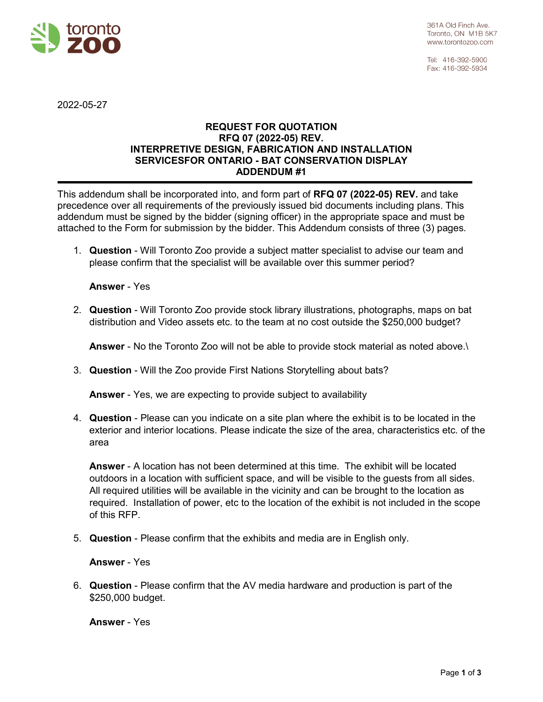

Tel: 416-392-5900 Fax: 416-392-5934

2022-05-27

## **REQUEST FOR QUOTATION RFQ 07 (2022-05) REV. INTERPRETIVE DESIGN, FABRICATION AND INSTALLATION SERVICESFOR ONTARIO - BAT CONSERVATION DISPLAY ADDENDUM #1**

This addendum shall be incorporated into, and form part of **RFQ 07 (2022-05) REV.** and take precedence over all requirements of the previously issued bid documents including plans. This addendum must be signed by the bidder (signing officer) in the appropriate space and must be attached to the Form for submission by the bidder. This Addendum consists of three (3) pages.

1. **Question** - Will Toronto Zoo provide a subject matter specialist to advise our team and please confirm that the specialist will be available over this summer period?

## **Answer** - Yes

2. **Question** - Will Toronto Zoo provide stock library illustrations, photographs, maps on bat distribution and Video assets etc. to the team at no cost outside the \$250,000 budget?

**Answer** - No the Toronto Zoo will not be able to provide stock material as noted above.\

3. **Question** - Will the Zoo provide First Nations Storytelling about bats?

**Answer** - Yes, we are expecting to provide subject to availability

4. **Question** - Please can you indicate on a site plan where the exhibit is to be located in the exterior and interior locations. Please indicate the size of the area, characteristics etc. of the area

**Answer** - A location has not been determined at this time. The exhibit will be located outdoors in a location with sufficient space, and will be visible to the guests from all sides. All required utilities will be available in the vicinity and can be brought to the location as required. Installation of power, etc to the location of the exhibit is not included in the scope of this RFP.

5. **Question** - Please confirm that the exhibits and media are in English only.

## **Answer** - Yes

6. **Question** - Please confirm that the AV media hardware and production is part of the \$250,000 budget.

**Answer** - Yes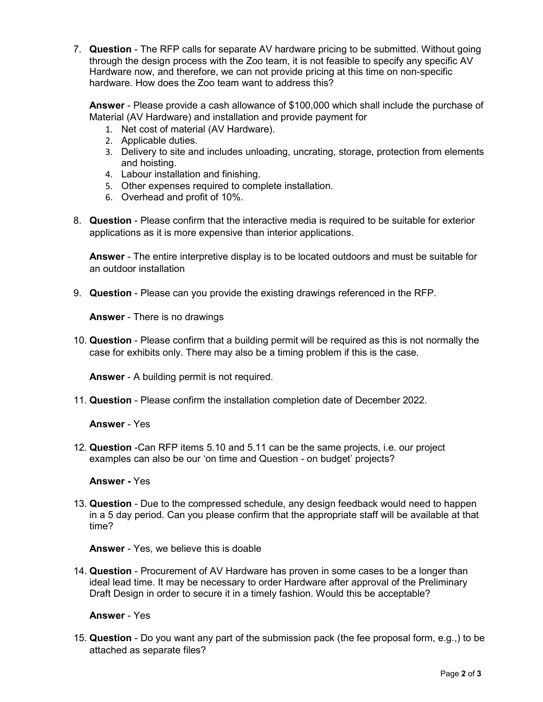7. **Question** - The RFP calls for separate AV hardware pricing to be submitted. Without going through the design process with the Zoo team, it is not feasible to specify any specific AV Hardware now, and therefore, we can not provide pricing at this time on non-specific hardware. How does the Zoo team want to address this?

**Answer** - Please provide a cash allowance of \$100,000 which shall include the purchase of Material (AV Hardware) and installation and provide payment for

- 1. Net cost of material (AV Hardware).
- 2. Applicable duties.
- 3. Delivery to site and includes unloading, uncrating, storage, protection from elements and hoisting.
- 4. Labour installation and finishing.
- 5. Other expenses required to complete installation.
- 6. Overhead and profit of 10%.
- 8. **Question** Please confirm that the interactive media is required to be suitable for exterior applications as it is more expensive than interior applications.

**Answer** - The entire interpretive display is to be located outdoors and must be suitable for an outdoor installation

9. **Question** - Please can you provide the existing drawings referenced in the RFP.

**Answer** - There is no drawings

10. **Question** - Please confirm that a building permit will be required as this is not normally the case for exhibits only. There may also be a timing problem if this is the case.

**Answer** - A building permit is not required.

11. **Question** - Please confirm the installation completion date of December 2022.

**Answer** - Yes

12. **Question** -Can RFP items 5.10 and 5.11 can be the same projects, i.e. our project examples can also be our 'on time and Question - on budget' projects?

**Answer -** Yes

13. **Question** - Due to the compressed schedule, any design feedback would need to happen in a 5 day period. Can you please confirm that the appropriate staff will be available at that time?

**Answer** - Yes, we believe this is doable

14. **Question** - Procurement of AV Hardware has proven in some cases to be a longer than ideal lead time. It may be necessary to order Hardware after approval of the Preliminary Draft Design in order to secure it in a timely fashion. Would this be acceptable?

**Answer** - Yes

15. **Question** - Do you want any part of the submission pack (the fee proposal form, e.g.,) to be attached as separate files?